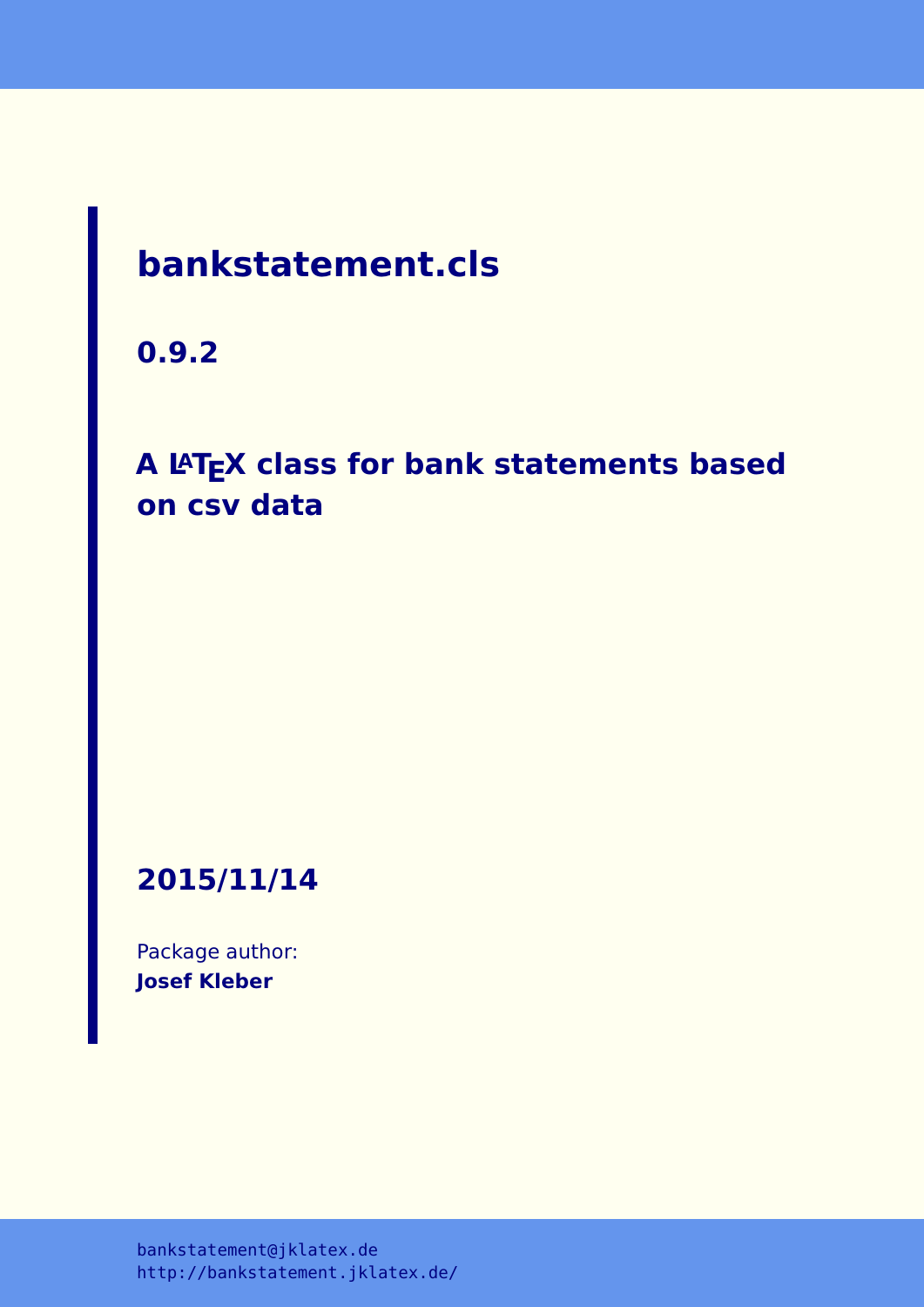# **bankstatement.cls**

**0.9.2**

# **A LATEX class for bank statements based on csv data**

**2015/11/14**

Package author: **Josef Kleber**

[bankstatement@jklatex.de](mailto:bankstatement@jklatex.de) <http://bankstatement.jklatex.de/>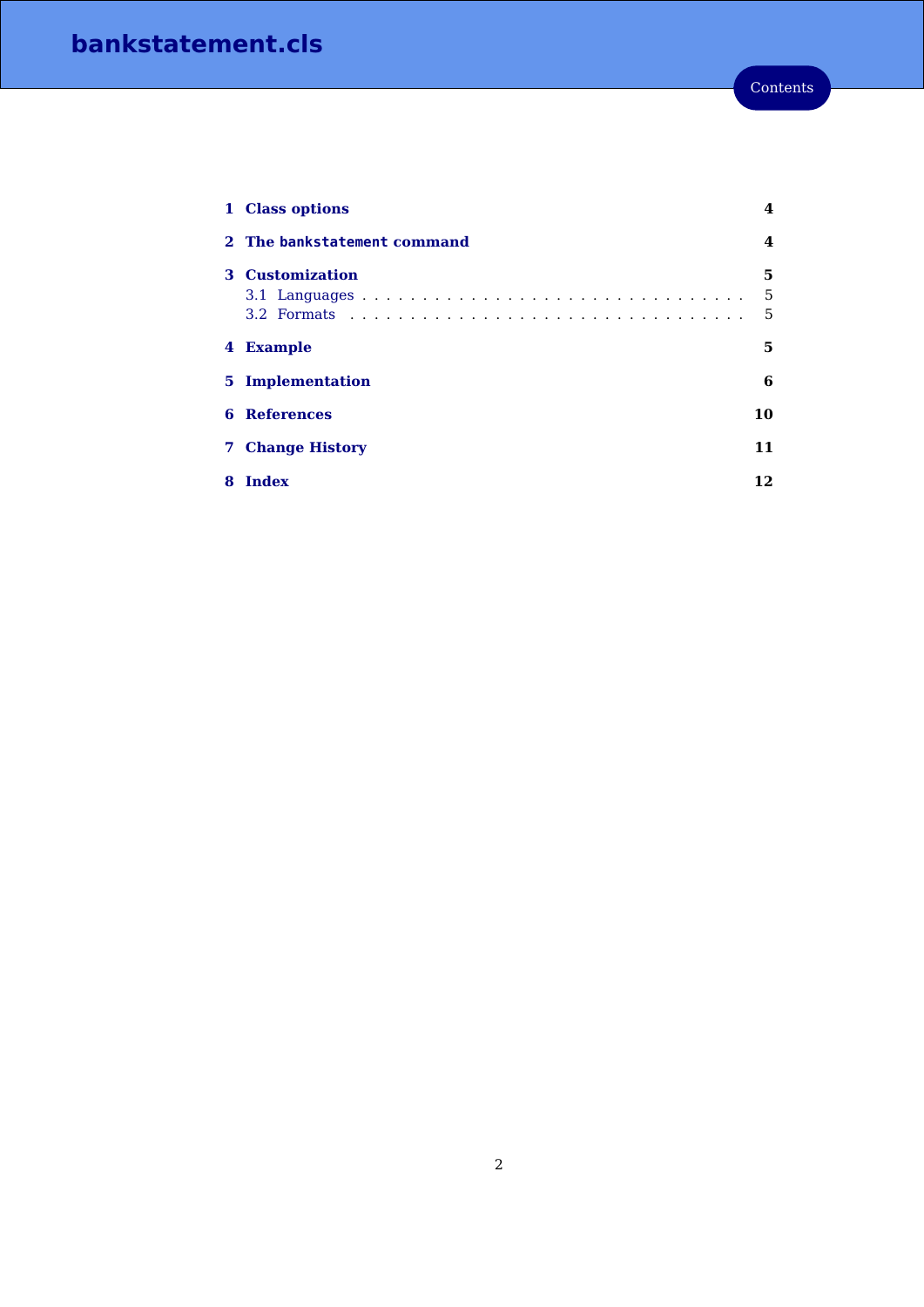|    | 1 Class options             | 4           |
|----|-----------------------------|-------------|
|    | 2 The bankstatement command | 4           |
| З. | <b>Customization</b>        | 5<br>5<br>5 |
|    | 4 Example                   | 5           |
| 5. | Implementation              | 6           |
| 6  | <b>References</b>           | 10          |
| 7  | <b>Change History</b>       | 11          |
| 8  | Index                       | 12          |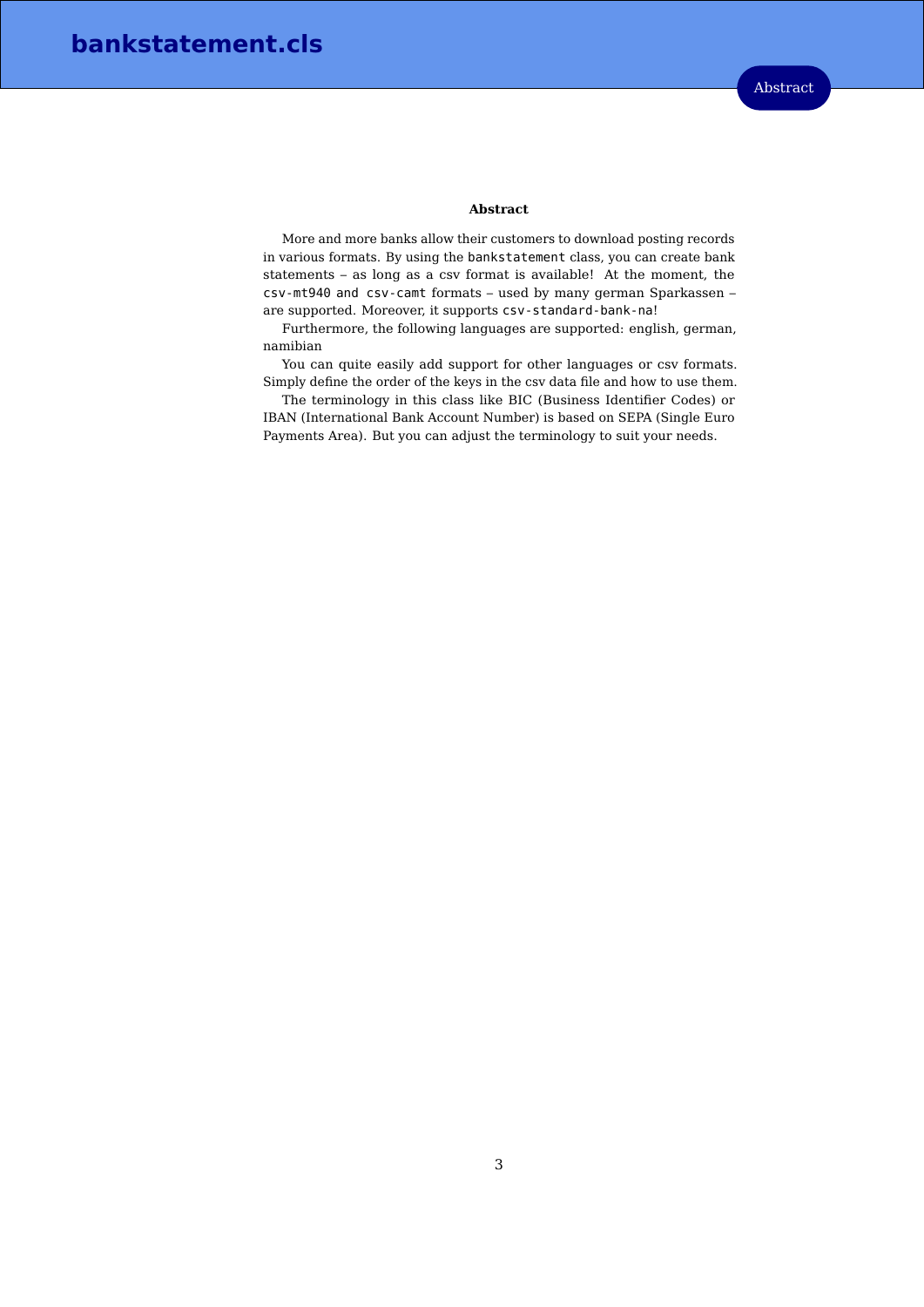#### **Abstract**

More and more banks allow their customers to download posting records in various formats. By using the bankstatement class, you can create bank statements – as long as a csv format is available! At the moment, the csv-mt940 and csv-camt formats – used by many german Sparkassen – are supported. Moreover, it supports csv-standard-bank-na!

Furthermore, the following languages are supported: english, german, namibian

You can quite easily add support for other languages or csv formats. Simply define the order of the keys in the csv data file and how to use them.

The terminology in this class like BIC (Business Identifier Codes) or IBAN (International Bank Account Number) is based on SEPA (Single Euro Payments Area). But you can adjust the terminology to suit your needs.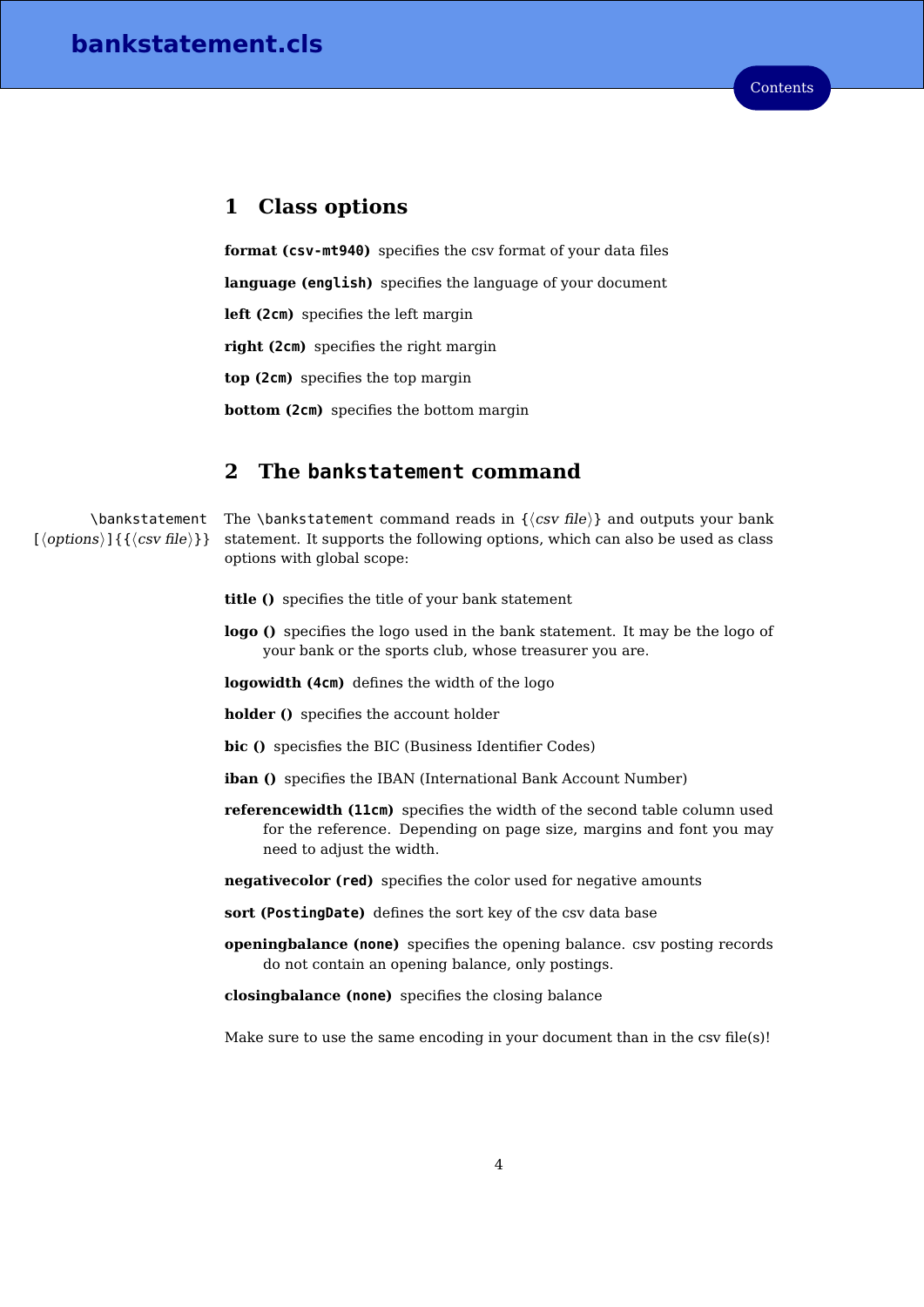### <span id="page-3-0"></span>**1 Class options**

**format (csv-mt940)** specifies the csv format of your data files **language (english)** specifies the language of your document **left (2cm)** specifies the left margin **right (2cm)** specifies the right margin **top (2cm)** specifies the top margin **bottom (2cm)** specifies the bottom margin

# <span id="page-3-1"></span>**2 The bankstatement command**

\bankstatement The \bankstatement command reads in  $\{\langle csv \text{ file}\rangle\}$  and outputs your bank  $\{\langle options \rangle\}$  {  $\{\langle csv \, file \rangle\}$  } statement. It supports the following options, which can also be used as class options with global scope:

- **title ()** specifies the title of your bank statement
- **logo ()** specifies the logo used in the bank statement. It may be the logo of your bank or the sports club, whose treasurer you are.

**logowidth (4cm)** defines the width of the logo

**holder ()** specifies the account holder

**bic ()** specisfies the BIC (Business Identifier Codes)

- **iban ()** specifies the IBAN (International Bank Account Number)
- **referencewidth (11cm)** specifies the width of the second table column used for the reference. Depending on page size, margins and font you may need to adjust the width.
- **negativecolor (red)** specifies the color used for negative amounts
- **sort (PostingDate)** defines the sort key of the csv data base
- **openingbalance (none)** specifies the opening balance. csv posting records do not contain an opening balance, only postings.

**closingbalance (none)** specifies the closing balance

Make sure to use the same encoding in your document than in the csv file(s)!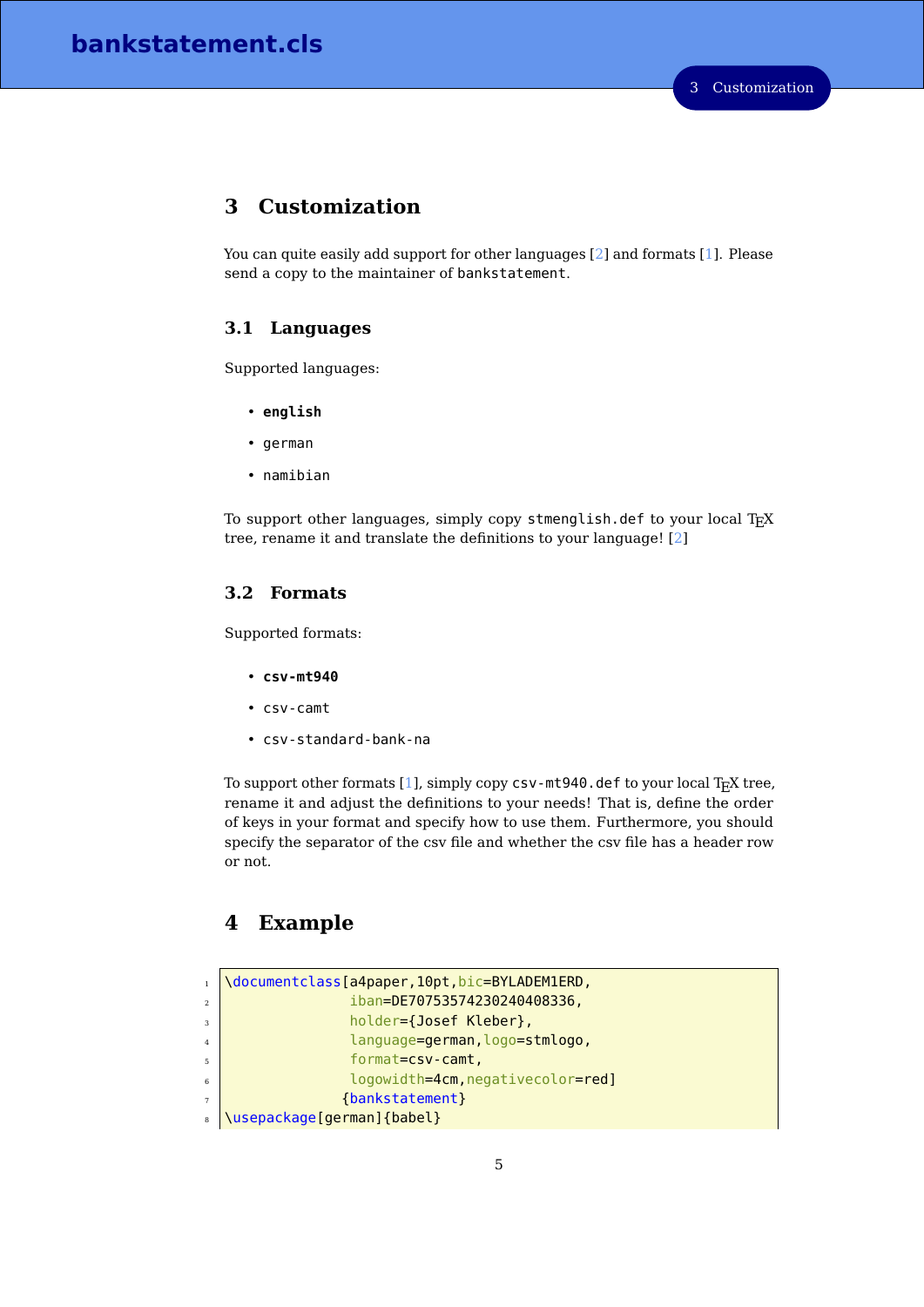# <span id="page-4-0"></span>**3 Customization**

You can quite easily add support for other languages [\[2\]](#page-9-1) and formats [\[1\]](#page-9-2). Please send a copy to the maintainer of bankstatement.

#### <span id="page-4-1"></span>**3.1 Languages**

Supported languages:

- **english**
- german
- namibian

To support other languages, simply copy stmenglish.def to your local  $T_{F}X$ tree, rename it and translate the definitions to your language! [\[2\]](#page-9-1)

### <span id="page-4-2"></span>**3.2 Formats**

Supported formats:

- **csv-mt940**
- csv-camt
- csv-standard-bank-na

To support other formats [\[1\]](#page-9-2), simply copy csv-mt940.def to your local TEX tree, rename it and adjust the definitions to your needs! That is, define the order of keys in your format and specify how to use them. Furthermore, you should specify the separator of the csv file and whether the csv file has a header row or not.

# <span id="page-4-3"></span>**4 Example**

```
1 \documentclass[a4paper,10pt,bic=BYLADEM1ERD,
\frac{1}{2} iban=DE70753574230240408336,
\frac{1}{3} holder={Josef Kleber},
4 language=german, logo=stmlogo,
5 format=csv-camt,
6 logowidth=4cm,negativecolor=red]
7 {bankstatement}
8 \usepackage[german]{babel}
```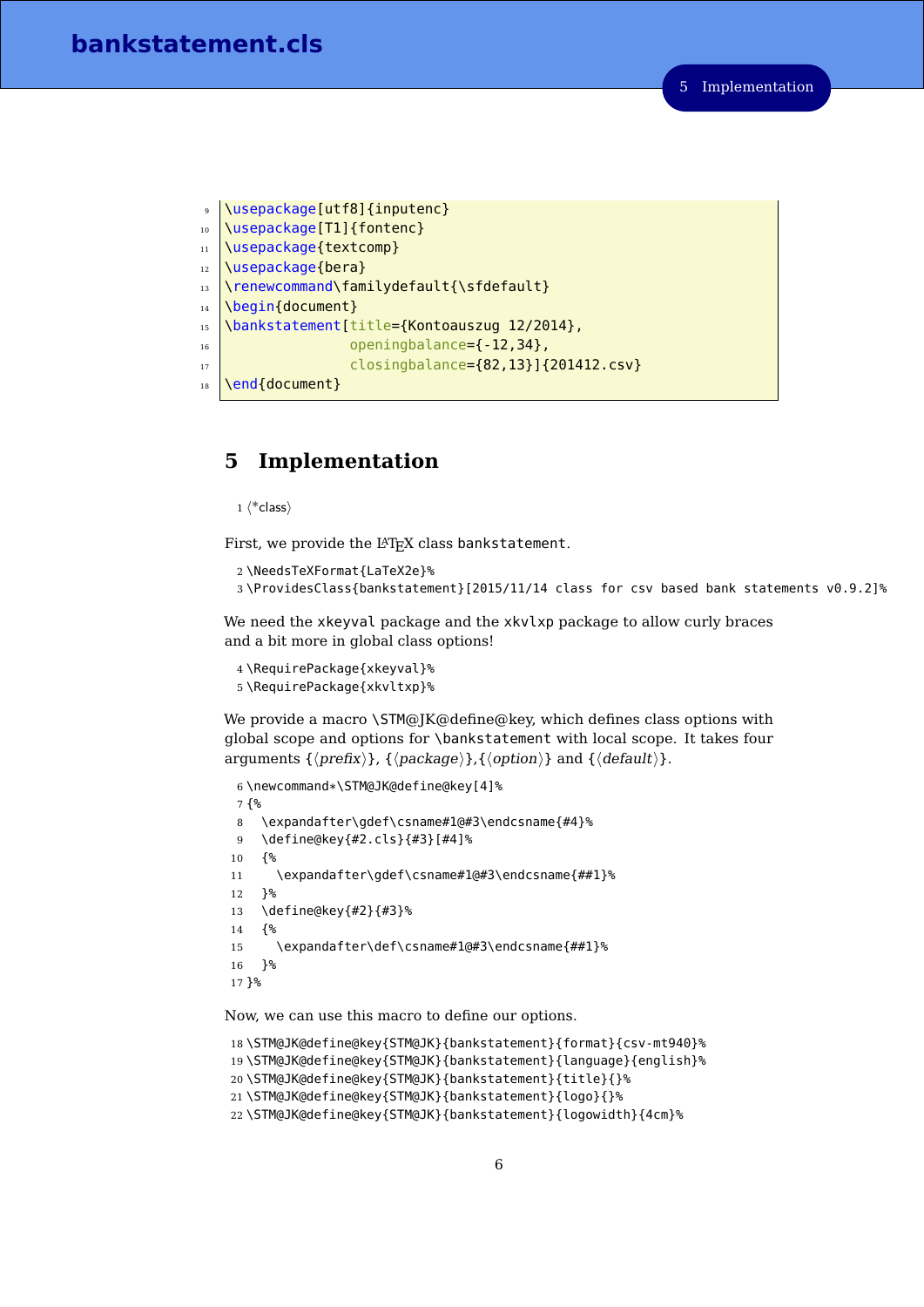```
9 \usepackage[utf8]{inputenc}
10 \usepackage[T1]{fontenc}
11 \usepackage{textcomp}
12 \usepackage{bera}
13 \renewcommand\familydefault{\sfdefault}
14 \begin{document}
15 \bankstatement[title={Kontoauszug 12/2014},
\overline{16} openingbalance=\{-12,34\},
17 closingbalance={82,13}]{201412.csv}
18 \end{document}
```
# <span id="page-5-0"></span>**5 Implementation**

```
1 \langle *class\rangle
```
First, we provide the L<sup>AT</sup>FX class bankstatement.

```
2 \NeedsTeXFormat{LaTeX2e}%
```

```
3 \ProvidesClass{bankstatement}[2015/11/14 class for csv based bank statements v0.9.2]%
```
We need the xkeyval package and the xkvlxp package to allow curly braces and a bit more in global class options!

```
4 \RequirePackage{xkeyval}%
5 \RequirePackage{xkvltxp}%
```
We provide a macro \STM@JK@define@key, which defines class options with global scope and options for \bankstatement with local scope. It takes four arguments  $\{\langle prefix \rangle\}$ ,  $\{\langle package \rangle\}$ ,  $\{\langle option \rangle\}$  and  $\{\langle default \rangle\}$ .

```
6 \newcommand*\STM@JK@define@key[4]%
7 {%
8 \expandafter\gdef\csname#1@#3\endcsname{#4}%
9 \define@key{#2.cls}{#3}[#4]%
10 {%
11 \expandafter\gdef\csname#1@#3\endcsname{##1}%
12 }%
13 \define@key{#2}{#3}%
14 {%
15 \expandafter\def\csname#1@#3\endcsname{##1}%
16 }%
17 }%
```
<span id="page-5-3"></span>Now, we can use this macro to define our options.

```
18 \STM@JK@define@key{STM@JK}{bankstatement}{format}{csv-mt940}%
19 \STM@JK@define@key{STM@JK}{bankstatement}{language}{english}%
20 \STM@JK@define@key{STM@JK}{bankstatement}{title}{}%
21 \STM@JK@define@key{STM@JK}{bankstatement}{logo}{}%
22 \STM@JK@define@key{STM@JK}{bankstatement}{logowidth}{4cm}%
```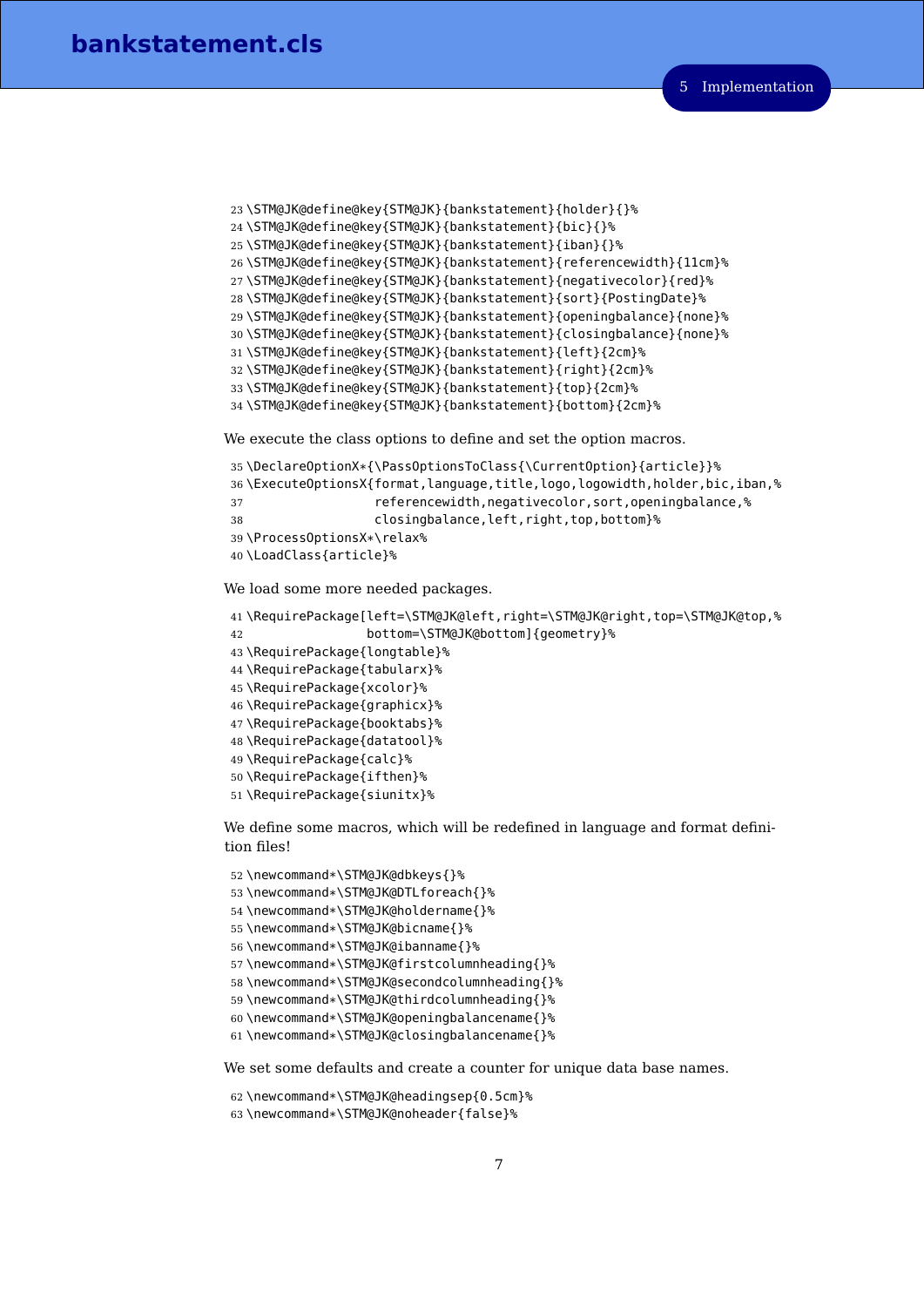```
23 \STM@JK@define@key{STM@JK}{bankstatement}{holder}{}%
24 \STM@JK@define@key{STM@JK}{bankstatement}{bic}{}%
25 \STM@JK@define@key{STM@JK}{bankstatement}{iban}{}%
26 \STM@JK@define@key{STM@JK}{bankstatement}{referencewidth}{11cm}%
27 \STM@JK@define@key{STM@JK}{bankstatement}{negativecolor}{red}%
28 \STM@JK@define@key{STM@JK}{bankstatement}{sort}{PostingDate}%
29 \STM@JK@define@key{STM@JK}{bankstatement}{openingbalance}{none}%
30 \STM@JK@define@key{STM@JK}{bankstatement}{closingbalance}{none}%
31 \STM@JK@define@key{STM@JK}{bankstatement}{left}{2cm}%
32 \STM@JK@define@key{STM@JK}{bankstatement}{right}{2cm}%
33 \STM@JK@define@key{STM@JK}{bankstatement}{top}{2cm}%
34 \STM@JK@define@key{STM@JK}{bankstatement}{bottom}{2cm}%
```
<span id="page-6-18"></span><span id="page-6-17"></span><span id="page-6-16"></span><span id="page-6-15"></span><span id="page-6-14"></span>We execute the class options to define and set the option macros.

```
35 \DeclareOptionX*{\PassOptionsToClass{\CurrentOption}{article}}%
36 \ExecuteOptionsX{format,language,title,logo,logowidth,holder,bic,iban,%
37 referencewidth,negativecolor,sort,openingbalance,%
38 closingbalance,left,right,top,bottom}%
39 \ProcessOptionsX*\relax%
40 \LoadClass{article}%
```
<span id="page-6-2"></span>We load some more needed packages.

```
41 \RequirePackage[left=\STM@JK@left,right=\STM@JK@right,top=\STM@JK@top,%
42 bottom=\STM@JK@bottom]{geometry}%
43 \RequirePackage{longtable}%
44 \RequirePackage{tabularx}%
45 \RequirePackage{xcolor}%
46 \RequirePackage{graphicx}%
47 \RequirePackage{booktabs}%
48 \RequirePackage{datatool}%
49 \RequirePackage{calc}%
50 \RequirePackage{ifthen}%
51 \RequirePackage{siunitx}%
```
We define some macros, which will be redefined in language and format definition files!

```
52 \newcommand*\STM@JK@dbkeys{}%
53 \newcommand*\STM@JK@DTLforeach{}%
54 \newcommand*\STM@JK@holdername{}%
55 \newcommand*\STM@JK@bicname{}%
56 \newcommand*\STM@JK@ibanname{}%
57 \newcommand*\STM@JK@firstcolumnheading{}%
58 \newcommand*\STM@JK@secondcolumnheading{}%
59 \newcommand*\STM@JK@thirdcolumnheading{}%
60 \newcommand*\STM@JK@openingbalancename{}%
61 \newcommand*\STM@JK@closingbalancename{}%
```
<span id="page-6-28"></span><span id="page-6-27"></span><span id="page-6-26"></span><span id="page-6-5"></span>We set some defaults and create a counter for unique data base names.

```
62 \newcommand*\STM@JK@headingsep{0.5cm}%
```

```
63 \newcommand*\STM@JK@noheader{false}%
```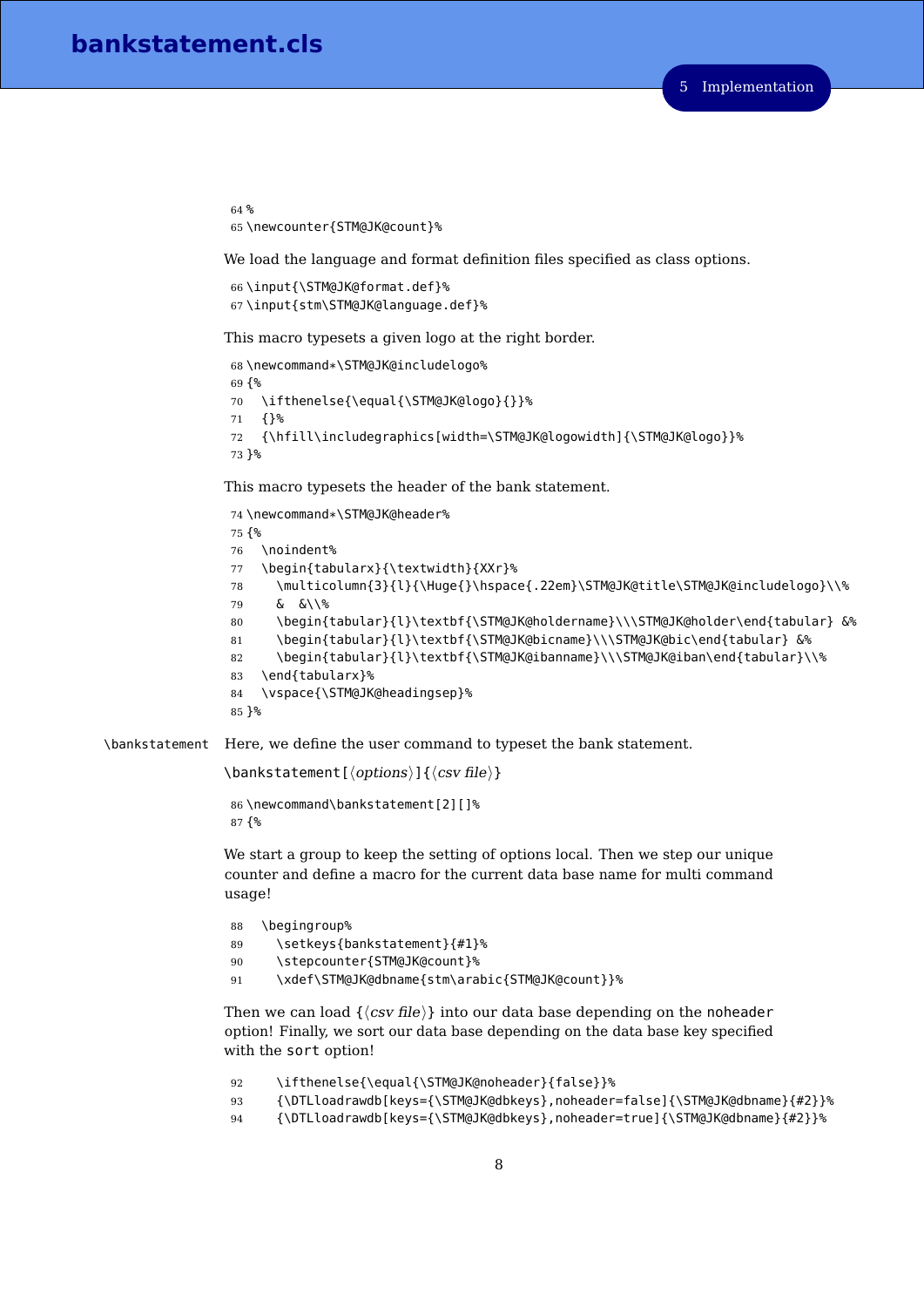```
64 %
65 \newcounter{STM@JK@count}%
```
We load the language and format definition files specified as class options.

```
66 \input{\STM@JK@format.def}%
67 \input{stm\STM@JK@language.def}%
```
This macro typesets a given logo at the right border.

```
68 \newcommand*\STM@JK@includelogo%
69 {%
70 \ifthenelse{\equal{\STM@JK@logo}{}}%
71 {}%
72 {\hfill\includegraphics[width=\STM@JK@logowidth]{\STM@JK@logo}}%
73 }%
```
<span id="page-7-5"></span>This macro typesets the header of the bank statement.

```
74 \newcommand*\STM@JK@header%
75 {%
76 \noindent%
77 \begin{tabularx}{\textwidth}{XXr}%
78 \multicolumn{3}{l}{\Huge{}\hspace{.22em}\STM@JK@title\STM@JK@includelogo}\\%
79 & &\\%
80 \begin{tabular}{l}\textbf{\STM@JK@holdername}\\\STM@JK@holder\end{tabular} &%
81 \begin{tabular}{l}\textbf{\STM@JK@bicname}\\\STM@JK@bic\end{tabular} &%
82 \begin{tabular}{l}\textbf{\STM@JK@ibanname}\\\STM@JK@iban\end{tabular}\\%
83 \end{tabularx}%
84 \vspace{\STM@JK@headingsep}%
85 }%
```
<span id="page-7-2"></span>\bankstatement Here, we define the user command to typeset the bank statement.

```
\bankstatement[\langle options\rangle]{\langle csv \, file \rangle}
```

```
86 \newcommand\bankstatement[2][]%
87 {%
```
We start a group to keep the setting of options local. Then we step our unique counter and define a macro for the current data base name for multi command usage!

```
88 \begingroup%
89 \setkeys{bankstatement}{#1}%
90 \stepcounter{STM@JK@count}%
91 \xdef\STM@JK@dbname{stm\arabic{STM@JK@count}}%
```
<span id="page-7-1"></span>Then we can load  $\{\langle csv file \rangle\}$  into our data base depending on the noheader option! Finally, we sort our data base depending on the data base key specified with the sort option!

```
92 \ifthenelse{\equal{\STM@JK@noheader}{false}}%
93 {\DTLloadrawdb[keys={\STM@JK@dbkeys},noheader=false]{\STM@JK@dbname}{#2}}%
94 {\DTLloadrawdb[keys={\STM@JK@dbkeys},noheader=true]{\STM@JK@dbname}{#2}}%
```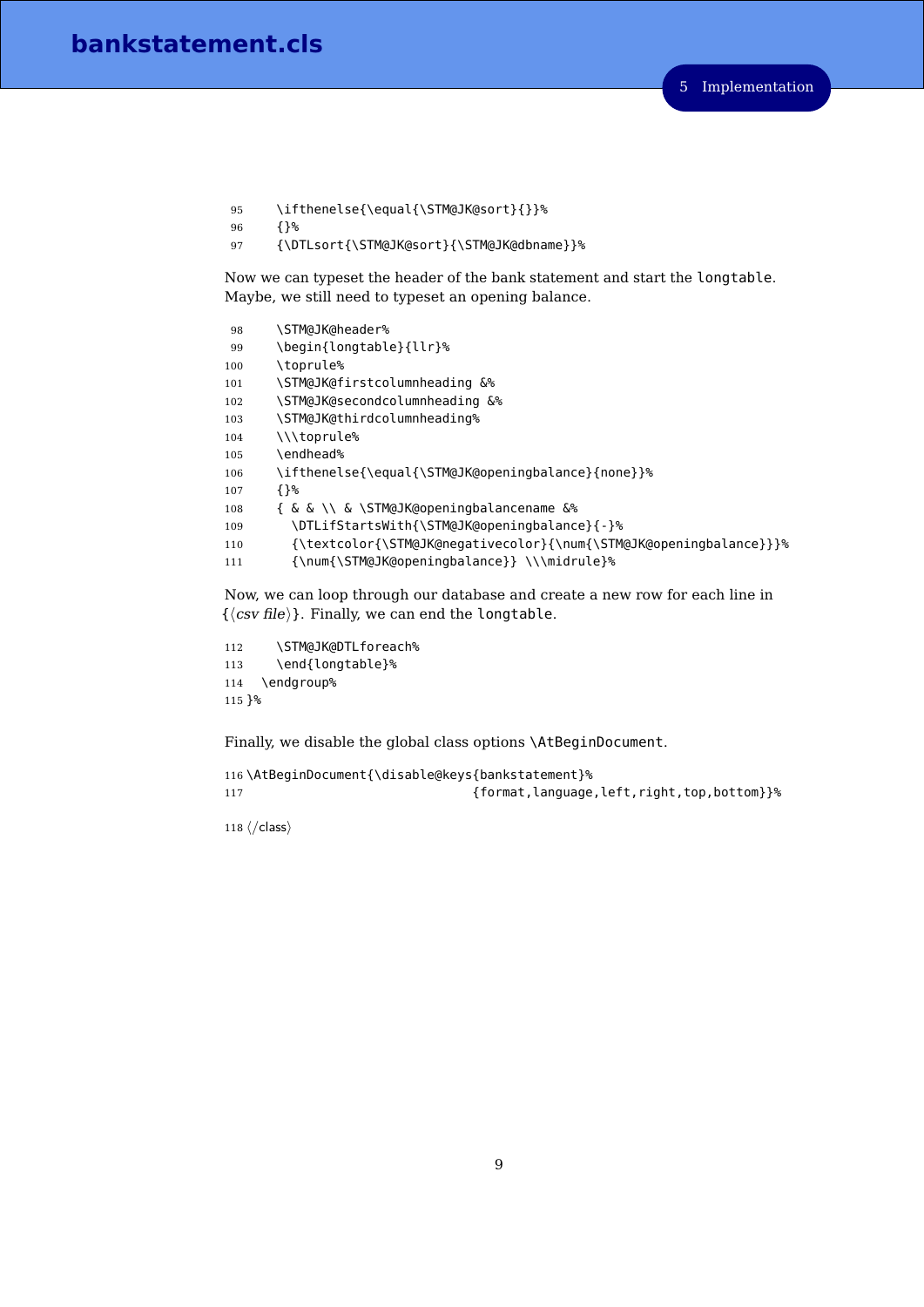```
95 \ifthenelse{\equal{\STM@JK@sort}{}}%
```
{}%

<span id="page-8-2"></span>{\DTLsort{\STM@JK@sort}{\STM@JK@dbname}}%

Now we can typeset the header of the bank statement and start the longtable. Maybe, we still need to typeset an opening balance.

```
98 \STM@JK@header%
99 \begin{longtable}{llr}%
100 \toprule%
101 \STM@JK@firstcolumnheading &%
102 \STM@JK@secondcolumnheading &%
103 \STM@JK@thirdcolumnheading%
104 \\\toprule%
105 \endhead%
106 \ifthenelse{\equal{\STM@JK@openingbalance}{none}}%
107 {}%
108 { & & \\ & \STM@JK@openingbalancename &%
109 \DTLifStartsWith{\STM@JK@openingbalance}{-}%
110 {\textcolor{\STM@JK@negativecolor}{\num{\STM@JK@openingbalance}}}%
111 {\num{\STM@JK@openingbalance}} \\\midrule}%
```
<span id="page-8-11"></span><span id="page-8-10"></span><span id="page-8-6"></span><span id="page-8-5"></span><span id="page-8-1"></span>Now, we can loop through our database and create a new row for each line in  $\{\langle csv file \rangle\}.$  Finally, we can end the longtable.

```
112 \STM@JK@DTLforeach%
113 \end{longtable}%
114 \endgroup%
115 }%
```
Finally, we disable the global class options \AtBeginDocument.

```
116 \AtBeginDocument{\disable@keys{bankstatement}%
117 {format,language,left,right,top,bottom}}%
```
118  $\langle$ /class)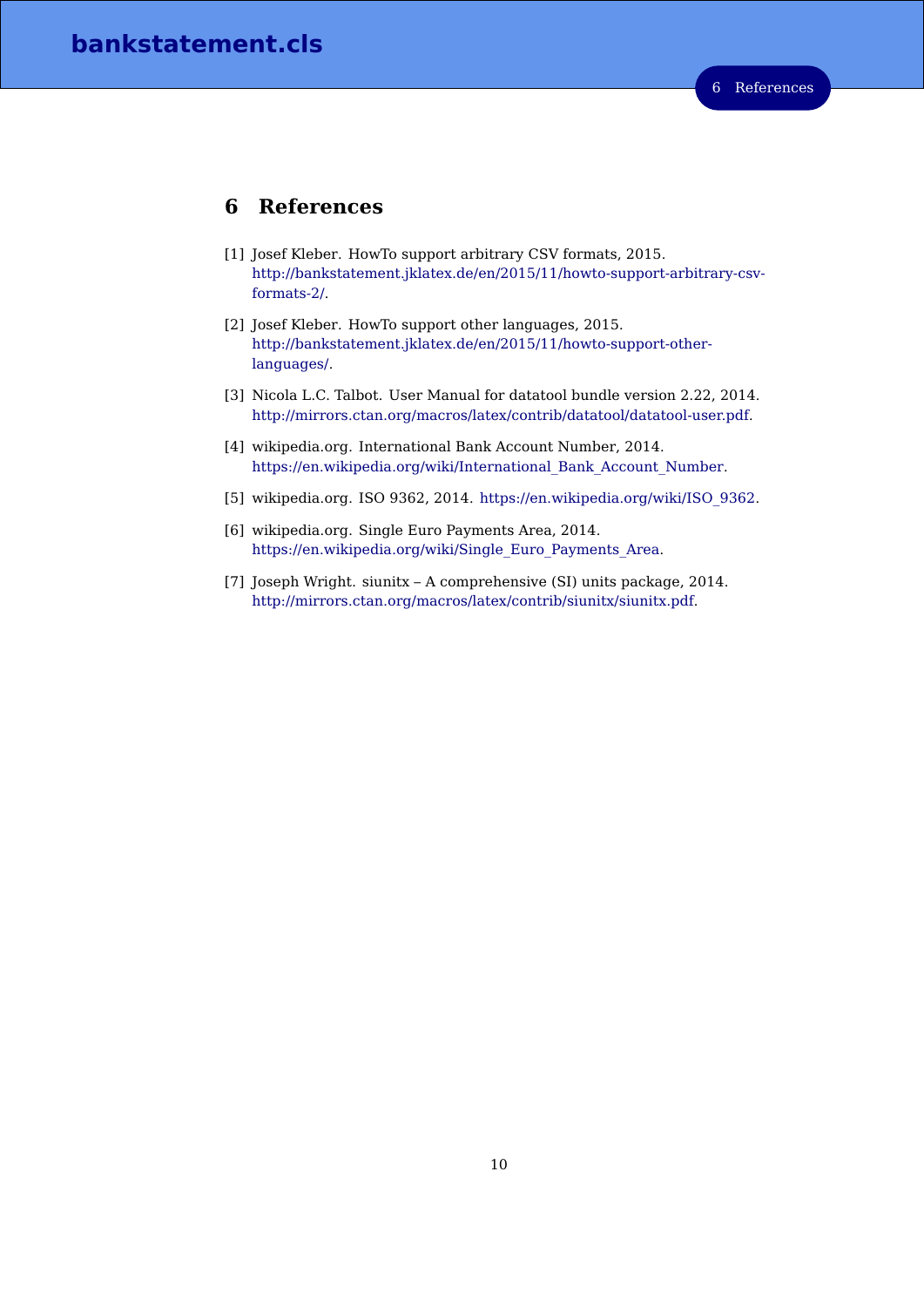# <span id="page-9-0"></span>**6 References**

- <span id="page-9-2"></span>[1] Josef Kleber. HowTo support arbitrary CSV formats, 2015. [http://bankstatement.jklatex.de/en/2015/11/howto-support-arbitrary-csv](http://bankstatement.jklatex.de/en/2015/11/howto-support-arbitrary-csv-formats-2/)[formats-2/.](http://bankstatement.jklatex.de/en/2015/11/howto-support-arbitrary-csv-formats-2/)
- <span id="page-9-1"></span>[2] Josef Kleber. HowTo support other languages, 2015. [http://bankstatement.jklatex.de/en/2015/11/howto-support-other](http://bankstatement.jklatex.de/en/2015/11/howto-support-other-languages/)[languages/.](http://bankstatement.jklatex.de/en/2015/11/howto-support-other-languages/)
- [3] Nicola L.C. Talbot. User Manual for datatool bundle version 2.22, 2014. [http://mirrors.ctan.org/macros/latex/contrib/datatool/datatool-user.pdf.](http://mirrors.ctan.org/macros/latex/contrib/datatool/datatool-user.pdf)
- [4] wikipedia.org. International Bank Account Number, 2014. [https://en.wikipedia.org/wiki/International\\_Bank\\_Account\\_Number.](https://en.wikipedia.org/wiki/International_Bank_Account_Number)
- [5] wikipedia.org. ISO 9362, 2014. [https://en.wikipedia.org/wiki/ISO\\_9362.](https://en.wikipedia.org/wiki/ISO_9362)
- [6] wikipedia.org. Single Euro Payments Area, 2014. [https://en.wikipedia.org/wiki/Single\\_Euro\\_Payments\\_Area.](https://en.wikipedia.org/wiki/Single_Euro_Payments_Area)
- [7] Joseph Wright. siunitx A comprehensive (SI) units package, 2014. [http://mirrors.ctan.org/macros/latex/contrib/siunitx/siunitx.pdf.](http://mirrors.ctan.org/macros/latex/contrib/siunitx/siunitx.pdf)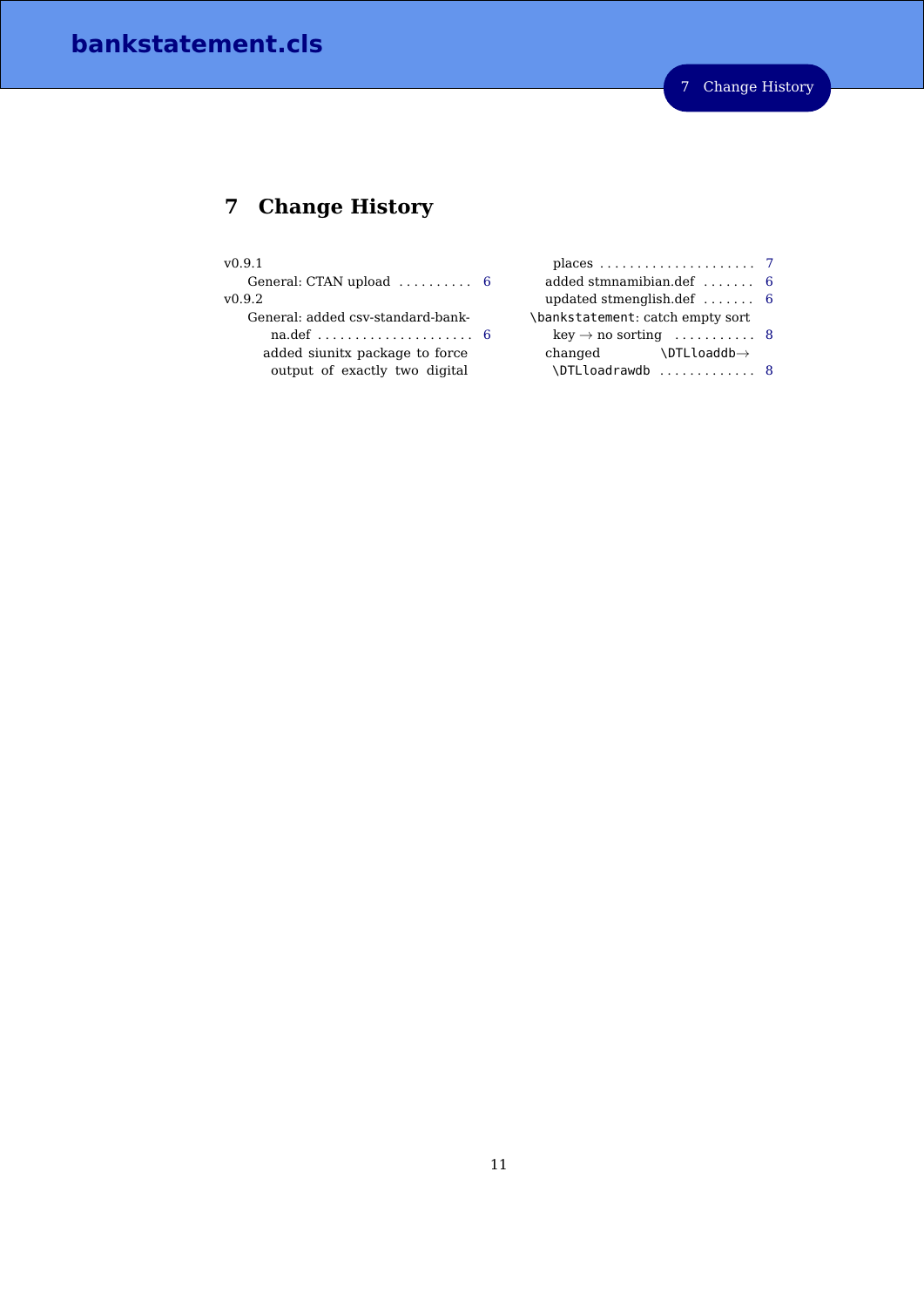# <span id="page-10-0"></span>**7 Change History**

#### v0.9.1

General: CTAN upload .......... [6](#page-5-1) v0.9.2

General: added csv-standard-bankna.def . . . . . . . . . . . . . . . . . . . . . [6](#page-5-1) added siunitx package to force output of exactly two digital

| places $\ldots \ldots \ldots \ldots \ldots \ldots$ |
|----------------------------------------------------|
| 6                                                  |
| 6                                                  |
|                                                    |
| $key \rightarrow no$ sorting  8                    |
|                                                    |
|                                                    |

\DTLloadrawdb ............. [8](#page-7-0)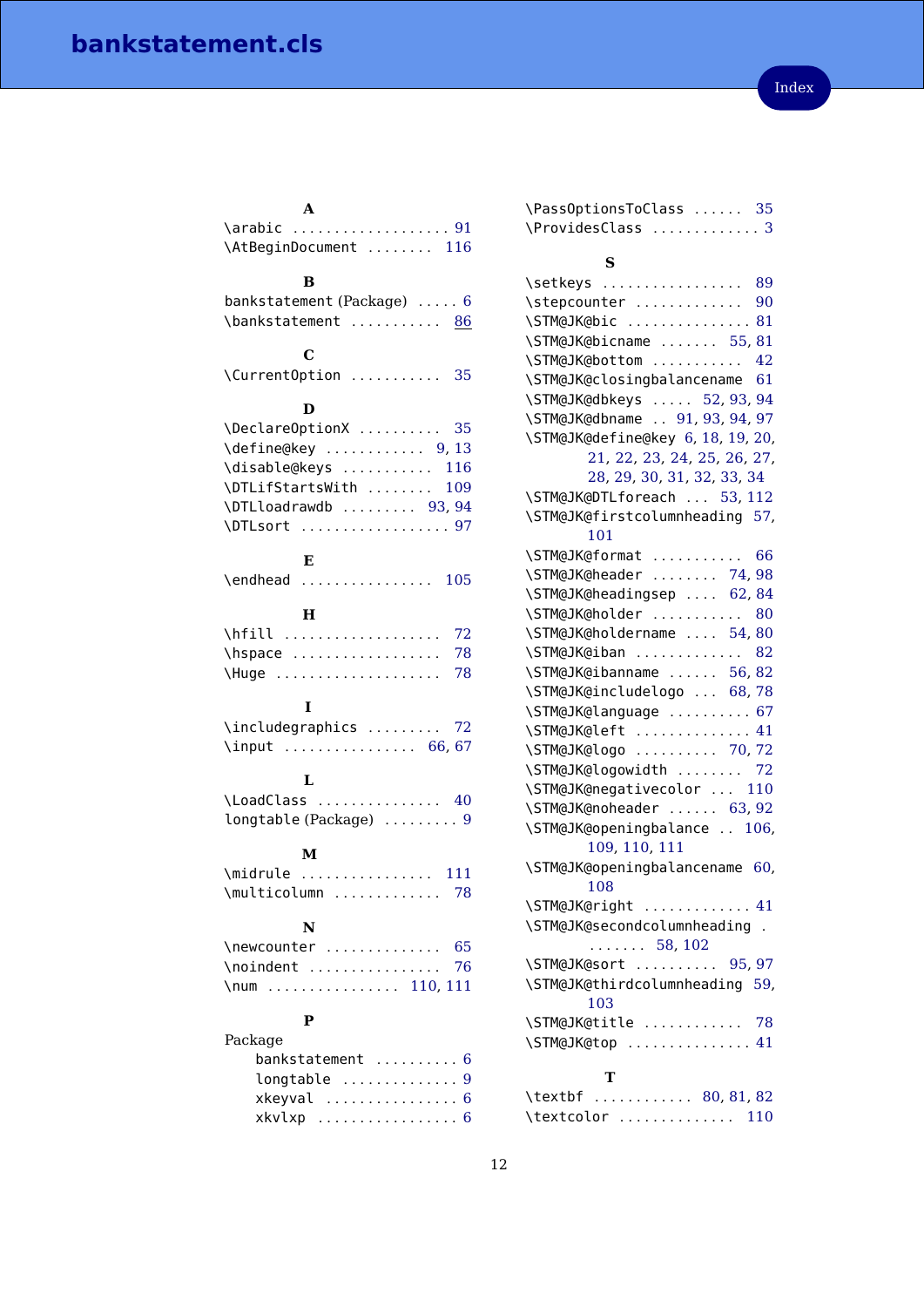<span id="page-11-0"></span>

| A                                                                     |
|-----------------------------------------------------------------------|
| \arabic  91                                                           |
| \AtBeginDocument  116                                                 |
| в                                                                     |
| bankstatement (Package)  6                                            |
| \bankstatement  86                                                    |
|                                                                       |
| $\mathbf C$                                                           |
| \CurrentOption  35                                                    |
|                                                                       |
| D                                                                     |
| \DeclareOptionX<br>35                                                 |
| $\left\{ \text{define@key } \dots \dots \dots \right. 9, 13 \right\}$ |
| \disable@keys<br>116                                                  |
| \DTLifStartsWith<br>109                                               |
| \DTLloadrawdb  93,94                                                  |
| \DTLsort  97                                                          |
| Е                                                                     |
|                                                                       |
| \endhead  105                                                         |
| н                                                                     |
| \hfill<br>72                                                          |
| \hspace<br>78                                                         |
| \Huge<br>78                                                           |
|                                                                       |
| I                                                                     |
| \includegraphics<br>72                                                |
| \input  66,67                                                         |
| L                                                                     |
| \LoadClass  40                                                        |
| longtable (Package)  9                                                |
|                                                                       |
| M                                                                     |
| \midrule<br>111<br>.                                                  |
| \multicolumn<br>78                                                    |
|                                                                       |
| N                                                                     |
| \newcounter<br>65                                                     |
| \noindent<br>76                                                       |
| $\ldots$ 110, 111<br>$\sum$<br>$\ddot{\phantom{0}}$                   |
| $\mathbf{P}$                                                          |
| Package                                                               |
| bankstatement<br>6                                                    |
| longtable<br>9                                                        |
| xkeyval<br>6                                                          |

xkvlxp . . . . . . . . . . . . . . . . . [6](#page-5-1)

| \ProvidesClass  3                                  |
|----------------------------------------------------|
| S                                                  |
| \setkeys  89                                       |
| \stepcounter  90                                   |
| \STM@JK@bic  81                                    |
| \STM@JK@bicname  55,81                             |
| \STM@JK@bottom  42                                 |
| \STM@JK@closingbalancename 61                      |
| \STM@JK@dbkeys  52, 93, 94                         |
| \STM@JK@dbname  91, 93, 94, 97                     |
| \STM@JK@define@key 6, 18, 19, 20,                  |
| 21, 22, 23, 24, 25, 26, 27,                        |
| 28, 29, 30, 31, 32, 33, 34                         |
| \STM@JK@DTLforeach  53, 112                        |
| \STM@JK@firstcolumnheading 57,                     |
| 101                                                |
| \STM@JK@format<br>66                               |
| \STM@JK@header  74,98                              |
| \STM@JK@headingsep  62,84                          |
| \STM@JK@holder  80                                 |
| \STM@JK@holdername  54,80                          |
| \STM@JK@iban  82                                   |
| \STM@JK@ibanname  56,82                            |
| \STM@JK@includelogo  68,78                         |
| \STM@JK@language  67                               |
| \STM@JK@left  41                                   |
| \STM@JK@logo  70,72                                |
| \STM@JK@logowidth  72                              |
| \STM@JK@negativecolor  110                         |
| \STM@JK@noheader  63, 92                           |
| \STM@JK@openingbalance  106,                       |
| 109, 110, 111                                      |
| \STM@JK@openingbalancename 60,<br>108              |
|                                                    |
| \STM@JK@right  41<br>\STM@JK@secondcolumnheading . |
| $\ldots \ldots 58, 102$                            |
| \STM@JK@sort  95,97                                |
| \STM@JK@thirdcolumnheading 59,                     |
| 103                                                |
| \STM@JK@title  78                                  |
| \STM@JK@top  41                                    |
|                                                    |
| T                                                  |
| \textbf  80, 81, 82                                |
| \textcolor  110                                    |

\PassOptionsToClass . . . . . . [35](#page-6-1)